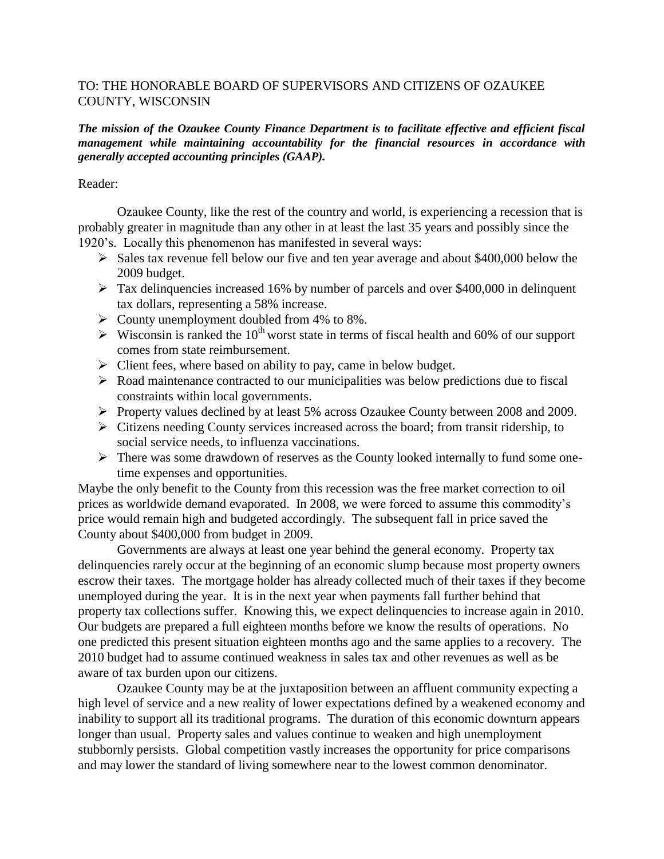## TO: THE HONORABLE BOARD OF SUPERVISORS AND CITIZENS OF OZAUKEE COUNTY, WISCONSIN

## *The mission of the Ozaukee County Finance Department is to facilitate effective and efficient fiscal management while maintaining accountability for the financial resources in accordance with generally accepted accounting principles (GAAP).*

## Reader:

Ozaukee County, like the rest of the country and world, is experiencing a recession that is probably greater in magnitude than any other in at least the last 35 years and possibly since the 1920's. Locally this phenomenon has manifested in several ways:

- $\triangleright$  Sales tax revenue fell below our five and ten year average and about \$400,000 below the 2009 budget.
- $\triangleright$  Tax delinquencies increased 16% by number of parcels and over \$400,000 in delinquent tax dollars, representing a 58% increase.
- $\triangleright$  County unemployment doubled from 4% to 8%.
- $\triangleright$  Wisconsin is ranked the 10<sup>th</sup> worst state in terms of fiscal health and 60% of our support comes from state reimbursement.
- $\triangleright$  Client fees, where based on ability to pay, came in below budget.
- $\triangleright$  Road maintenance contracted to our municipalities was below predictions due to fiscal constraints within local governments.
- Property values declined by at least 5% across Ozaukee County between 2008 and 2009.
- $\triangleright$  Citizens needing County services increased across the board; from transit ridership, to social service needs, to influenza vaccinations.
- $\triangleright$  There was some drawdown of reserves as the County looked internally to fund some onetime expenses and opportunities.

Maybe the only benefit to the County from this recession was the free market correction to oil prices as worldwide demand evaporated. In 2008, we were forced to assume this commodity's price would remain high and budgeted accordingly. The subsequent fall in price saved the County about \$400,000 from budget in 2009.

Governments are always at least one year behind the general economy. Property tax delinquencies rarely occur at the beginning of an economic slump because most property owners escrow their taxes. The mortgage holder has already collected much of their taxes if they become unemployed during the year. It is in the next year when payments fall further behind that property tax collections suffer. Knowing this, we expect delinquencies to increase again in 2010. Our budgets are prepared a full eighteen months before we know the results of operations. No one predicted this present situation eighteen months ago and the same applies to a recovery. The 2010 budget had to assume continued weakness in sales tax and other revenues as well as be aware of tax burden upon our citizens.

Ozaukee County may be at the juxtaposition between an affluent community expecting a high level of service and a new reality of lower expectations defined by a weakened economy and inability to support all its traditional programs. The duration of this economic downturn appears longer than usual. Property sales and values continue to weaken and high unemployment stubbornly persists. Global competition vastly increases the opportunity for price comparisons and may lower the standard of living somewhere near to the lowest common denominator.